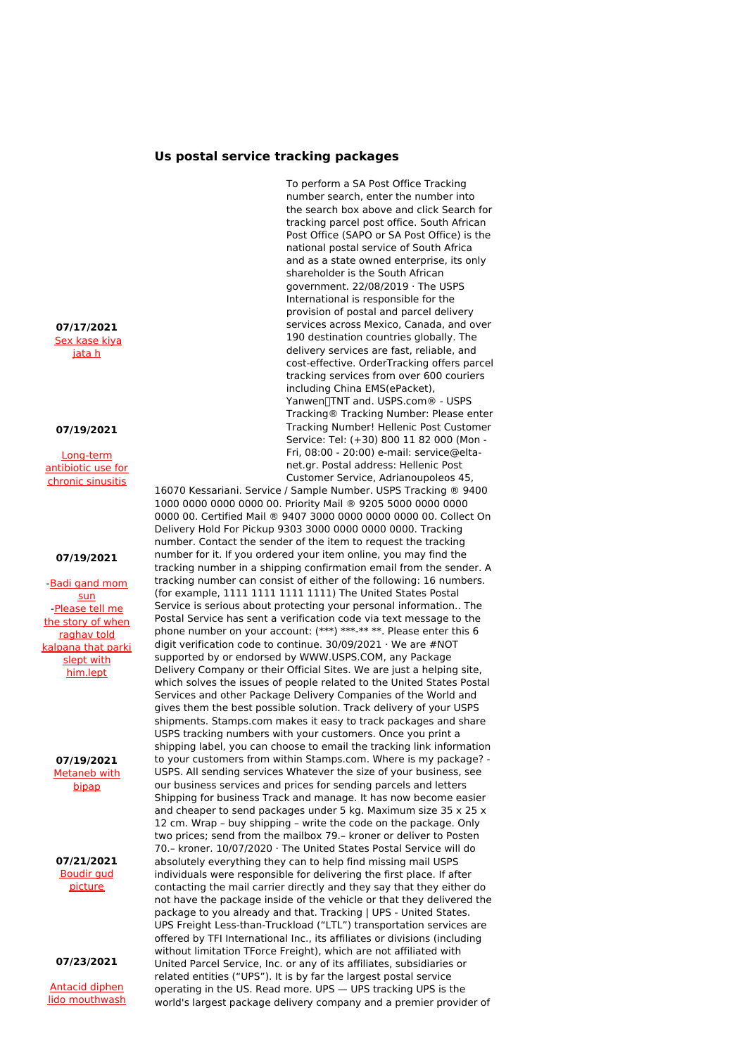## **Us postal service tracking packages**

To perform a SA Post Office Tracking number search, enter the number into the search box above and click Search for tracking parcel post office. South African Post Office (SAPO or SA Post Office) is the national postal service of South Africa and as a state owned enterprise, its only shareholder is the South African government. 22/08/2019 · The USPS International is responsible for the provision of postal and parcel delivery services across Mexico, Canada, and over 190 destination countries globally. The delivery services are fast, reliable, and cost-effective. OrderTracking offers parcel tracking services from over 600 couriers including China EMS(ePacket), Yanwen∏TNT and. USPS.com® - USPS Tracking® Tracking Number: Please enter Tracking Number! Hellenic Post Customer Service: Tel: (+30) 800 11 82 000 (Mon - Fri, 08:00 - 20:00) e-mail: service@eltanet.gr. Postal address: Hellenic Post Customer Service, Adrianoupoleos 45,

16070 Kessariani. Service / Sample Number. USPS Tracking ® 9400 1000 0000 0000 0000 00. Priority Mail ® 9205 5000 0000 0000 0000 00. Certified Mail ® 9407 3000 0000 0000 0000 00. Collect On Delivery Hold For Pickup 9303 3000 0000 0000 0000. Tracking number. Contact the sender of the item to request the tracking number for it. If you ordered your item online, you may find the tracking number in a shipping confirmation email from the sender. A tracking number can consist of either of the following: 16 numbers. (for example, 1111 1111 1111 1111) The United States Postal Service is serious about protecting your personal information.. The Postal Service has sent a verification code via text message to the phone number on your account: (\*\*\*) \*\*\*-\*\* \*\*. Please enter this 6 digit verification code to continue. 30/09/2021 · We are #NOT supported by or endorsed by WWW.USPS.COM, any Package Delivery Company or their Official Sites. We are just a helping site, which solves the issues of people related to the United States Postal Services and other Package Delivery Companies of the World and gives them the best possible solution. Track delivery of your USPS shipments. Stamps.com makes it easy to track packages and share USPS tracking numbers with your customers. Once you print a shipping label, you can choose to email the tracking link information to your customers from within Stamps.com. Where is my package? USPS. All sending services Whatever the size of your business, see our business services and prices for sending parcels and letters Shipping for business Track and manage. It has now become easier and cheaper to send packages under 5 kg. Maximum size 35 x 25 x 12 cm. Wrap – buy shipping – write the code on the package. Only two prices; send from the mailbox 79.– kroner or deliver to Posten 70.– kroner. 10/07/2020 · The United States Postal Service will do absolutely everything they can to help find missing mail USPS individuals were responsible for delivering the first place. If after contacting the mail carrier directly and they say that they either do not have the package inside of the vehicle or that they delivered the package to you already and that. Tracking | UPS - United States. UPS Freight Less-than-Truckload ("LTL") transportation services are offered by TFI International Inc., its affiliates or divisions (including without limitation TForce Freight), which are not affiliated with United Parcel Service, Inc. or any of its affiliates, subsidiaries or related entities ("UPS"). It is by far the largest postal service operating in the US. Read more. UPS — UPS tracking UPS is the world's largest package delivery company and a premier provider of

**07/17/2021** Sex [kase](http://bajbe.pl/jm) kiya jata h

## **07/19/2021**

[Long-term](http://manufakturawakame.pl/9P) antibiotic use for chronic sinusitis

## **07/19/2021**

-Badi [gand](http://manufakturawakame.pl/LM9) mom sun -Please tell me the story of when raghav told kalpana that parki slept with [him.lept](http://manufakturawakame.pl/3BE)

> **07/19/2021** [Metaneb](http://bajbe.pl/yem) with bipap

**07/21/2021** Boudir gud [picture](http://bajbe.pl/IyX)

**07/23/2021**

Antacid diphen lido [mouthwash](http://bajbe.pl/r6f)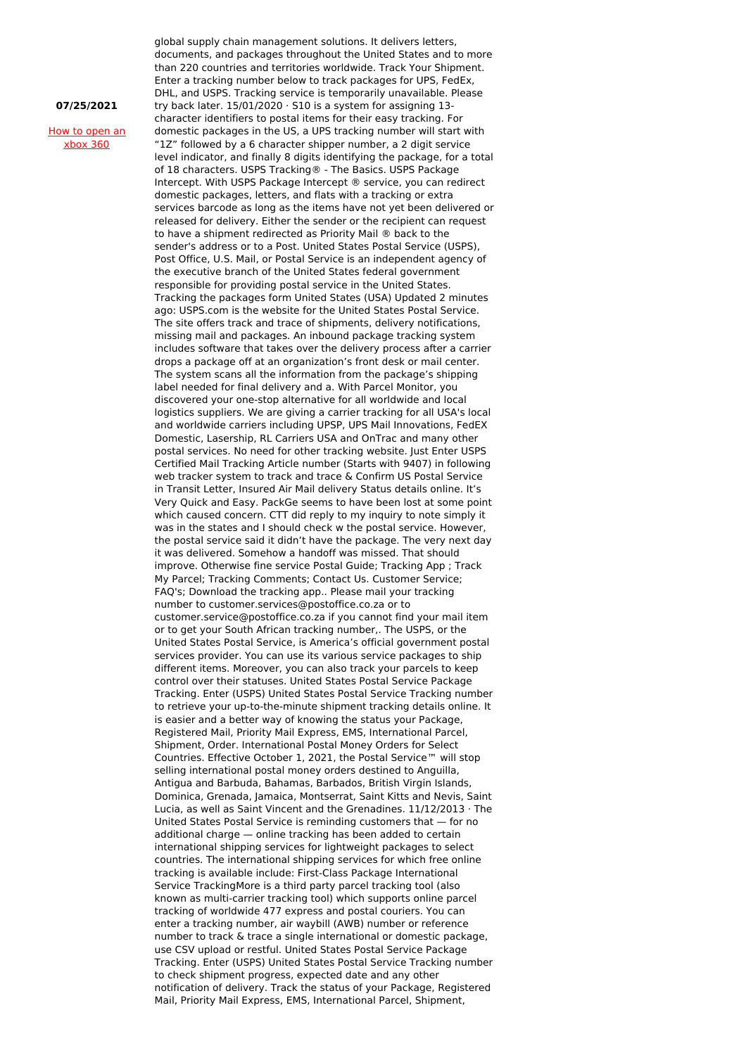**07/25/2021**

How to [open](http://manufakturawakame.pl/r8f) an xbox 360

global supply chain management solutions. It delivers letters, documents, and packages throughout the United States and to more than 220 countries and territories worldwide. Track Your Shipment. Enter a tracking number below to track packages for UPS, FedEx, DHL, and USPS. Tracking service is temporarily unavailable. Please try back later.  $15/01/2020 \cdot 510$  is a system for assigning 13character identifiers to postal items for their easy tracking. For domestic packages in the US, a UPS tracking number will start with "1Z" followed by a 6 character shipper number, a 2 digit service level indicator, and finally 8 digits identifying the package, for a total of 18 characters. USPS Tracking® - The Basics. USPS Package Intercept. With USPS Package Intercept ® service, you can redirect domestic packages, letters, and flats with a tracking or extra services barcode as long as the items have not yet been delivered or released for delivery. Either the sender or the recipient can request to have a shipment redirected as Priority Mail ® back to the sender's address or to a Post. United States Postal Service (USPS), Post Office, U.S. Mail, or Postal Service is an independent agency of the executive branch of the United States federal government responsible for providing postal service in the United States. Tracking the packages form United States (USA) Updated 2 minutes ago: USPS.com is the website for the United States Postal Service. The site offers track and trace of shipments, delivery notifications, missing mail and packages. An inbound package tracking system includes software that takes over the delivery process after a carrier drops a package off at an organization's front desk or mail center. The system scans all the information from the package's shipping label needed for final delivery and a. With Parcel Monitor, you discovered your one-stop alternative for all worldwide and local logistics suppliers. We are giving a carrier tracking for all USA's local and worldwide carriers including UPSP, UPS Mail Innovations, FedEX Domestic, Lasership, RL Carriers USA and OnTrac and many other postal services. No need for other tracking website. Just Enter USPS Certified Mail Tracking Article number (Starts with 9407) in following web tracker system to track and trace & Confirm US Postal Service in Transit Letter, Insured Air Mail delivery Status details online. It's Very Quick and Easy. PackGe seems to have been lost at some point which caused concern. CTT did reply to my inquiry to note simply it was in the states and I should check w the postal service. However, the postal service said it didn't have the package. The very next day it was delivered. Somehow a handoff was missed. That should improve. Otherwise fine service Postal Guide; Tracking App ; Track My Parcel; Tracking Comments; Contact Us. Customer Service; FAQ's; Download the tracking app.. Please mail your tracking number to customer.services@postoffice.co.za or to customer.service@postoffice.co.za if you cannot find your mail item or to get your South African tracking number,. The USPS, or the United States Postal Service, is America's official government postal services provider. You can use its various service packages to ship different items. Moreover, you can also track your parcels to keep control over their statuses. United States Postal Service Package Tracking. Enter (USPS) United States Postal Service Tracking number to retrieve your up-to-the-minute shipment tracking details online. It is easier and a better way of knowing the status your Package, Registered Mail, Priority Mail Express, EMS, International Parcel, Shipment, Order. International Postal Money Orders for Select Countries. Effective October 1, 2021, the Postal Service™ will stop selling international postal money orders destined to Anguilla, Antigua and Barbuda, Bahamas, Barbados, British Virgin Islands, Dominica, Grenada, Jamaica, Montserrat, Saint Kitts and Nevis, Saint Lucia, as well as Saint Vincent and the Grenadines. 11/12/2013 · The United States Postal Service is reminding customers that — for no additional charge — online tracking has been added to certain international shipping services for lightweight packages to select countries. The international shipping services for which free online tracking is available include: First-Class Package International Service TrackingMore is a third party parcel tracking tool (also known as multi-carrier tracking tool) which supports online parcel tracking of worldwide 477 express and postal couriers. You can enter a tracking number, air waybill (AWB) number or reference number to track & trace a single international or domestic package, use CSV upload or restful. United States Postal Service Package Tracking. Enter (USPS) United States Postal Service Tracking number to check shipment progress, expected date and any other notification of delivery. Track the status of your Package, Registered Mail, Priority Mail Express, EMS, International Parcel, Shipment,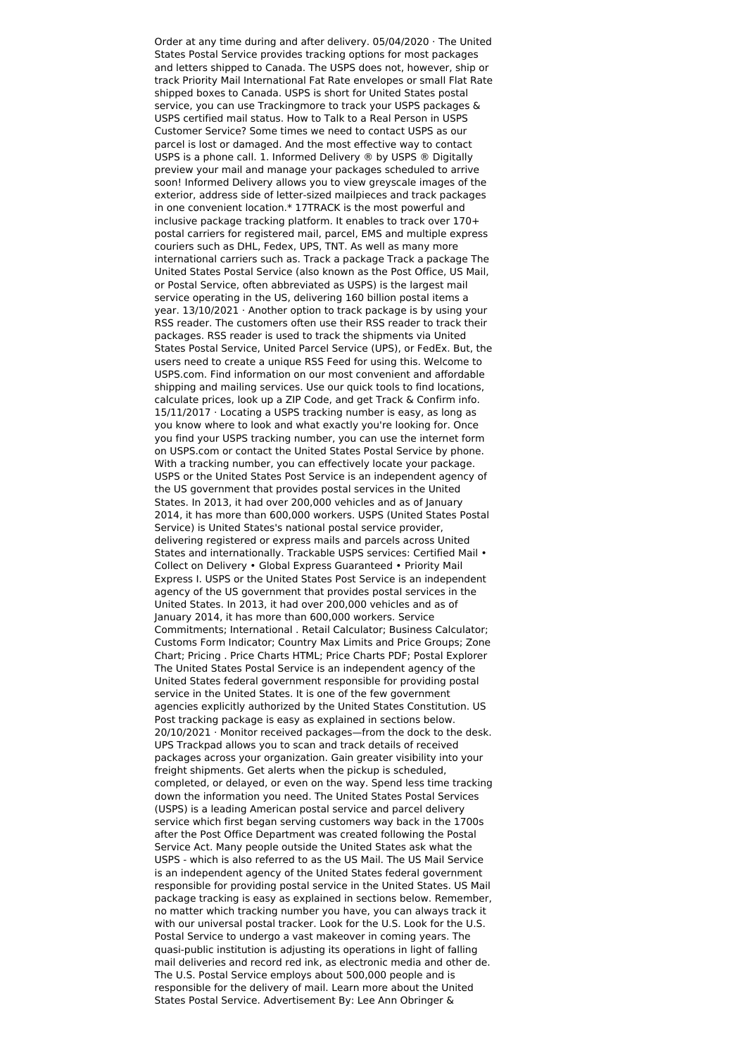Order at any time during and after delivery. 05/04/2020 · The United States Postal Service provides tracking options for most packages and letters shipped to Canada. The USPS does not, however, ship or track Priority Mail International Fat Rate envelopes or small Flat Rate shipped boxes to Canada. USPS is short for United States postal service, you can use Trackingmore to track your USPS packages & USPS certified mail status. How to Talk to a Real Person in USPS Customer Service? Some times we need to contact USPS as our parcel is lost or damaged. And the most effective way to contact USPS is a phone call. 1. Informed Delivery ® by USPS ® Digitally preview your mail and manage your packages scheduled to arrive soon! Informed Delivery allows you to view greyscale images of the exterior, address side of letter-sized mailpieces and track packages in one convenient location.\* 17TRACK is the most powerful and inclusive package tracking platform. It enables to track over 170+ postal carriers for registered mail, parcel, EMS and multiple express couriers such as DHL, Fedex, UPS, TNT. As well as many more international carriers such as. Track a package Track a package The United States Postal Service (also known as the Post Office, US Mail, or Postal Service, often abbreviated as USPS) is the largest mail service operating in the US, delivering 160 billion postal items a year. 13/10/2021 · Another option to track package is by using your RSS reader. The customers often use their RSS reader to track their packages. RSS reader is used to track the shipments via United States Postal Service, United Parcel Service (UPS), or FedEx. But, the users need to create a unique RSS Feed for using this. Welcome to USPS.com. Find information on our most convenient and affordable shipping and mailing services. Use our quick tools to find locations, calculate prices, look up a ZIP Code, and get Track & Confirm info. 15/11/2017 · Locating a USPS tracking number is easy, as long as you know where to look and what exactly you're looking for. Once you find your USPS tracking number, you can use the internet form on USPS.com or contact the United States Postal Service by phone. With a tracking number, you can effectively locate your package. USPS or the United States Post Service is an independent agency of the US government that provides postal services in the United States. In 2013, it had over 200,000 vehicles and as of January 2014, it has more than 600,000 workers. USPS (United States Postal Service) is United States's national postal service provider, delivering registered or express mails and parcels across United States and internationally. Trackable USPS services: Certified Mail • Collect on Delivery • Global Express Guaranteed • Priority Mail Express I. USPS or the United States Post Service is an independent agency of the US government that provides postal services in the United States. In 2013, it had over 200,000 vehicles and as of January 2014, it has more than 600,000 workers. Service Commitments; International . Retail Calculator; Business Calculator; Customs Form Indicator; Country Max Limits and Price Groups; Zone Chart; Pricing . Price Charts HTML; Price Charts PDF; Postal Explorer The United States Postal Service is an independent agency of the United States federal government responsible for providing postal service in the United States. It is one of the few government agencies explicitly authorized by the United States Constitution. US Post tracking package is easy as explained in sections below. 20/10/2021 · Monitor received packages—from the dock to the desk. UPS Trackpad allows you to scan and track details of received packages across your organization. Gain greater visibility into your freight shipments. Get alerts when the pickup is scheduled, completed, or delayed, or even on the way. Spend less time tracking down the information you need. The United States Postal Services (USPS) is a leading American postal service and parcel delivery service which first began serving customers way back in the 1700s after the Post Office Department was created following the Postal Service Act. Many people outside the United States ask what the USPS - which is also referred to as the US Mail. The US Mail Service is an independent agency of the United States federal government responsible for providing postal service in the United States. US Mail package tracking is easy as explained in sections below. Remember, no matter which tracking number you have, you can always track it with our universal postal tracker. Look for the U.S. Look for the U.S. Postal Service to undergo a vast makeover in coming years. The quasi-public institution is adjusting its operations in light of falling mail deliveries and record red ink, as electronic media and other de. The U.S. Postal Service employs about 500,000 people and is responsible for the delivery of mail. Learn more about the United States Postal Service. Advertisement By: Lee Ann Obringer &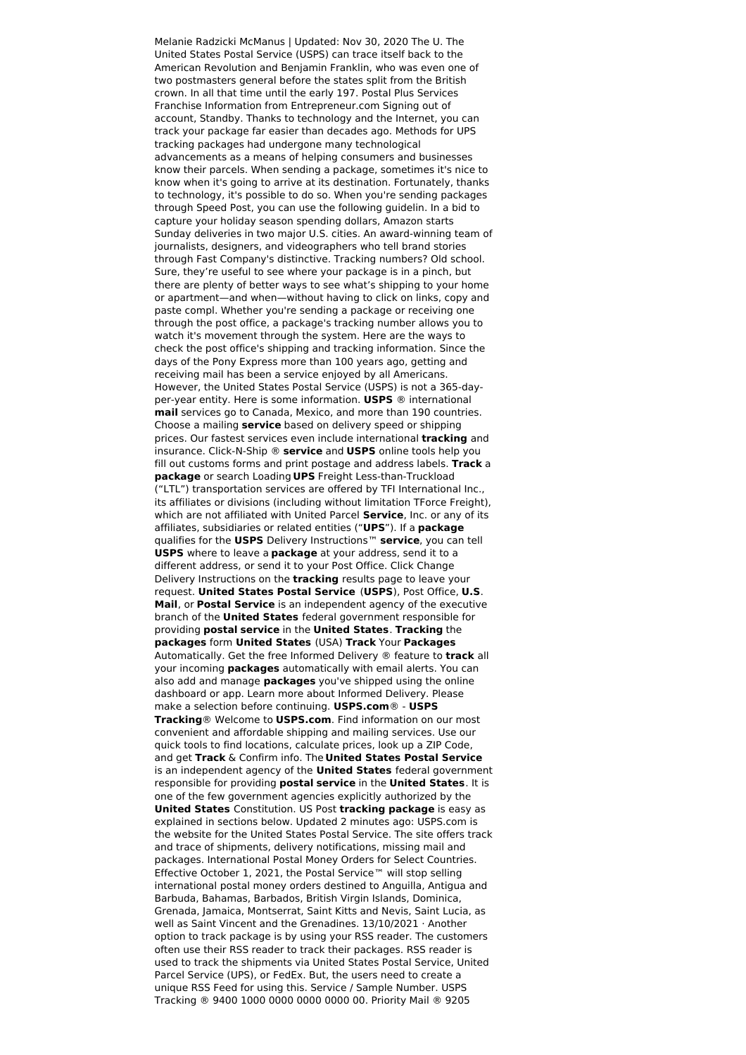Melanie Radzicki McManus | Updated: Nov 30, 2020 The U. The United States Postal Service (USPS) can trace itself back to the American Revolution and Benjamin Franklin, who was even one of two postmasters general before the states split from the British crown. In all that time until the early 197. Postal Plus Services Franchise Information from Entrepreneur.com Signing out of account, Standby. Thanks to technology and the Internet, you can track your package far easier than decades ago. Methods for UPS tracking packages had undergone many technological advancements as a means of helping consumers and businesses know their parcels. When sending a package, sometimes it's nice to know when it's going to arrive at its destination. Fortunately, thanks to technology, it's possible to do so. When you're sending packages through Speed Post, you can use the following guidelin. In a bid to capture your holiday season spending dollars, Amazon starts Sunday deliveries in two major U.S. cities. An award-winning team of journalists, designers, and videographers who tell brand stories through Fast Company's distinctive. Tracking numbers? Old school. Sure, they're useful to see where your package is in a pinch, but there are plenty of better ways to see what's shipping to your home or apartment—and when—without having to click on links, copy and paste compl. Whether you're sending a package or receiving one through the post office, a package's tracking number allows you to watch it's movement through the system. Here are the ways to check the post office's shipping and tracking information. Since the days of the Pony Express more than 100 years ago, getting and receiving mail has been a service enjoyed by all Americans. However, the United States Postal Service (USPS) is not a 365-dayper-year entity. Here is some information. **USPS** ® international **mail** services go to Canada, Mexico, and more than 190 countries. Choose a mailing **service** based on delivery speed or shipping prices. Our fastest services even include international **tracking** and insurance. Click-N-Ship ® **service** and **USPS** online tools help you fill out customs forms and print postage and address labels. **Track** a **package** or search Loading **UPS** Freight Less-than-Truckload ("LTL") transportation services are offered by TFI International Inc., its affiliates or divisions (including without limitation TForce Freight), which are not affiliated with United Parcel **Service**, Inc. or any of its affiliates, subsidiaries or related entities ("**UPS**"). If a **package** qualifies for the **USPS** Delivery Instructions™ **service**, you can tell **USPS** where to leave a **package** at your address, send it to a different address, or send it to your Post Office. Click Change Delivery Instructions on the **tracking** results page to leave your request. **United States Postal Service** (**USPS**), Post Office, **U.S**. **Mail**, or **Postal Service** is an independent agency of the executive branch of the **United States** federal government responsible for providing **postal service** in the **United States**. **Tracking** the **packages** form **United States** (USA) **Track** Your **Packages** Automatically. Get the free Informed Delivery ® feature to **track** all your incoming **packages** automatically with email alerts. You can also add and manage **packages** you've shipped using the online dashboard or app. Learn more about Informed Delivery. Please make a selection before continuing. **USPS.com**® - **USPS Tracking**® Welcome to **USPS.com**. Find information on our most convenient and affordable shipping and mailing services. Use our quick tools to find locations, calculate prices, look up a ZIP Code, and get **Track** & Confirm info. The **United States Postal Service** is an independent agency of the **United States** federal government responsible for providing **postal service** in the **United States**. It is one of the few government agencies explicitly authorized by the **United States** Constitution. US Post **tracking package** is easy as explained in sections below. Updated 2 minutes ago: USPS.com is the website for the United States Postal Service. The site offers track and trace of shipments, delivery notifications, missing mail and packages. International Postal Money Orders for Select Countries. Effective October 1, 2021, the Postal Service™ will stop selling international postal money orders destined to Anguilla, Antigua and Barbuda, Bahamas, Barbados, British Virgin Islands, Dominica, Grenada, Jamaica, Montserrat, Saint Kitts and Nevis, Saint Lucia, as well as Saint Vincent and the Grenadines. 13/10/2021 · Another option to track package is by using your RSS reader. The customers often use their RSS reader to track their packages. RSS reader is used to track the shipments via United States Postal Service, United Parcel Service (UPS), or FedEx. But, the users need to create a unique RSS Feed for using this. Service / Sample Number. USPS Tracking ® 9400 1000 0000 0000 0000 00. Priority Mail ® 9205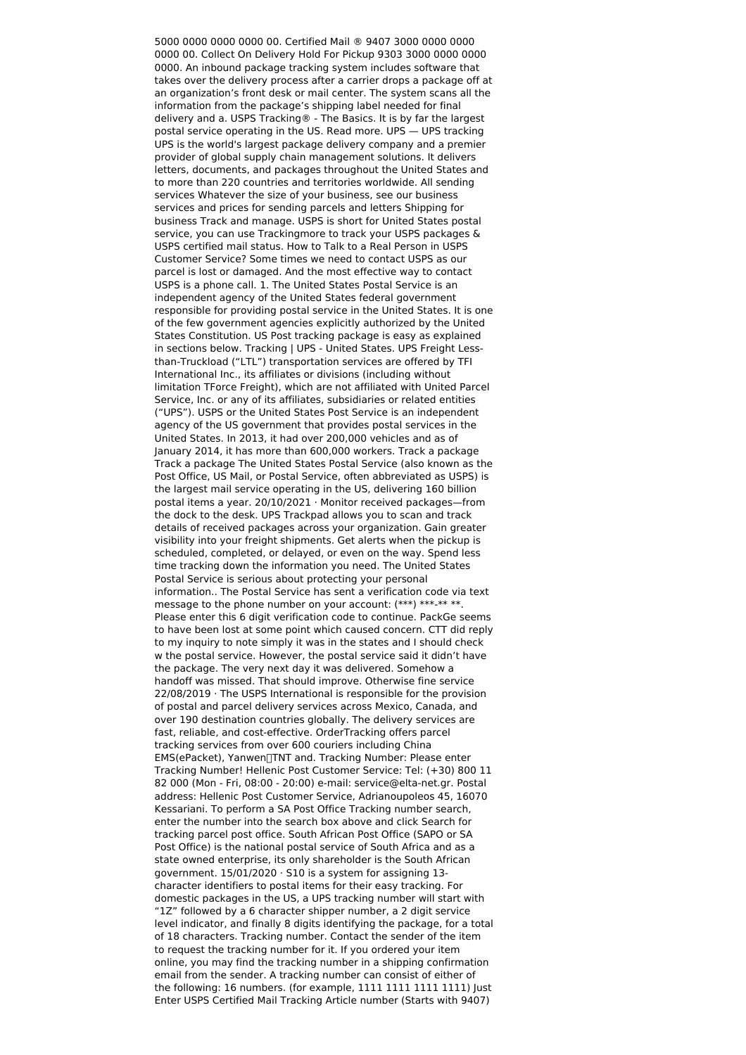5000 0000 0000 0000 00. Certified Mail ® 9407 3000 0000 0000 0000 00. Collect On Delivery Hold For Pickup 9303 3000 0000 0000 0000. An inbound package tracking system includes software that takes over the delivery process after a carrier drops a package off at an organization's front desk or mail center. The system scans all the information from the package's shipping label needed for final delivery and a. USPS Tracking® - The Basics. It is by far the largest postal service operating in the US. Read more. UPS - UPS tracking UPS is the world's largest package delivery company and a premier provider of global supply chain management solutions. It delivers letters, documents, and packages throughout the United States and to more than 220 countries and territories worldwide. All sending services Whatever the size of your business, see our business services and prices for sending parcels and letters Shipping for business Track and manage. USPS is short for United States postal service, you can use Trackingmore to track your USPS packages & USPS certified mail status. How to Talk to a Real Person in USPS Customer Service? Some times we need to contact USPS as our parcel is lost or damaged. And the most effective way to contact USPS is a phone call. 1. The United States Postal Service is an independent agency of the United States federal government responsible for providing postal service in the United States. It is one of the few government agencies explicitly authorized by the United States Constitution. US Post tracking package is easy as explained in sections below. Tracking | UPS - United States. UPS Freight Lessthan-Truckload ("LTL") transportation services are offered by TFI International Inc., its affiliates or divisions (including without limitation TForce Freight), which are not affiliated with United Parcel Service, Inc. or any of its affiliates, subsidiaries or related entities ("UPS"). USPS or the United States Post Service is an independent agency of the US government that provides postal services in the United States. In 2013, it had over 200,000 vehicles and as of January 2014, it has more than 600,000 workers. Track a package Track a package The United States Postal Service (also known as the Post Office, US Mail, or Postal Service, often abbreviated as USPS) is the largest mail service operating in the US, delivering 160 billion postal items a year. 20/10/2021 · Monitor received packages—from the dock to the desk. UPS Trackpad allows you to scan and track details of received packages across your organization. Gain greater visibility into your freight shipments. Get alerts when the pickup is scheduled, completed, or delayed, or even on the way. Spend less time tracking down the information you need. The United States Postal Service is serious about protecting your personal information.. The Postal Service has sent a verification code via text message to the phone number on your account: (\*\*\*) \*\*\*-\*\* \*\*. Please enter this 6 digit verification code to continue. PackGe seems to have been lost at some point which caused concern. CTT did reply to my inquiry to note simply it was in the states and I should check w the postal service. However, the postal service said it didn't have the package. The very next day it was delivered. Somehow a handoff was missed. That should improve. Otherwise fine service 22/08/2019 · The USPS International is responsible for the provision of postal and parcel delivery services across Mexico, Canada, and over 190 destination countries globally. The delivery services are fast, reliable, and cost-effective. OrderTracking offers parcel tracking services from over 600 couriers including China EMS(ePacket), Yanwen<sup>TNT</sup> and. Tracking Number: Please enter Tracking Number! Hellenic Post Customer Service: Tel: (+30) 800 11 82 000 (Mon - Fri, 08:00 - 20:00) e-mail: service@elta-net.gr. Postal address: Hellenic Post Customer Service, Adrianoupoleos 45, 16070 Kessariani. To perform a SA Post Office Tracking number search, enter the number into the search box above and click Search for tracking parcel post office. South African Post Office (SAPO or SA Post Office) is the national postal service of South Africa and as a state owned enterprise, its only shareholder is the South African government. 15/01/2020 · S10 is a system for assigning 13 character identifiers to postal items for their easy tracking. For domestic packages in the US, a UPS tracking number will start with "1Z" followed by a 6 character shipper number, a 2 digit service level indicator, and finally 8 digits identifying the package, for a total of 18 characters. Tracking number. Contact the sender of the item to request the tracking number for it. If you ordered your item online, you may find the tracking number in a shipping confirmation email from the sender. A tracking number can consist of either of the following: 16 numbers. (for example, 1111 1111 1111 1111) Just Enter USPS Certified Mail Tracking Article number (Starts with 9407)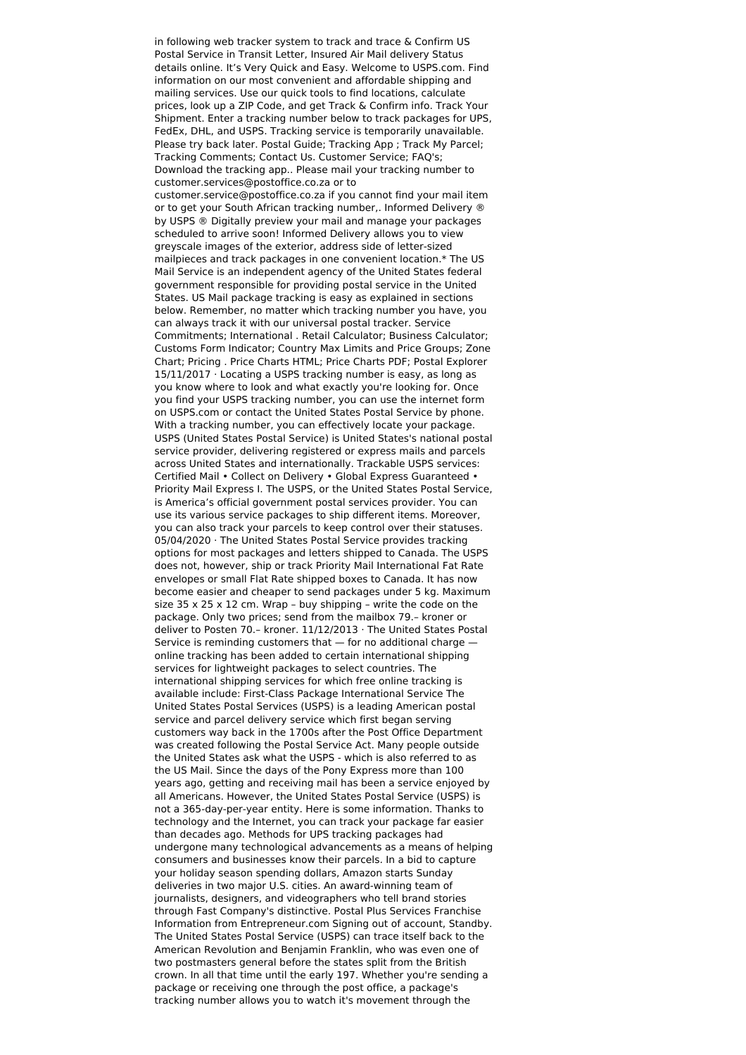in following web tracker system to track and trace & Confirm US Postal Service in Transit Letter, Insured Air Mail delivery Status details online. It's Very Quick and Easy. Welcome to USPS.com. Find information on our most convenient and affordable shipping and mailing services. Use our quick tools to find locations, calculate prices, look up a ZIP Code, and get Track & Confirm info. Track Your Shipment. Enter a tracking number below to track packages for UPS, FedEx, DHL, and USPS. Tracking service is temporarily unavailable. Please try back later. Postal Guide; Tracking App ; Track My Parcel; Tracking Comments; Contact Us. Customer Service; FAQ's; Download the tracking app.. Please mail your tracking number to customer.services@postoffice.co.za or to

customer.service@postoffice.co.za if you cannot find your mail item or to get your South African tracking number.. Informed Delivery ® by USPS ® Digitally preview your mail and manage your packages scheduled to arrive soon! Informed Delivery allows you to view greyscale images of the exterior, address side of letter-sized mailpieces and track packages in one convenient location.\* The US Mail Service is an independent agency of the United States federal government responsible for providing postal service in the United States. US Mail package tracking is easy as explained in sections below. Remember, no matter which tracking number you have, you can always track it with our universal postal tracker. Service Commitments; International . Retail Calculator; Business Calculator; Customs Form Indicator; Country Max Limits and Price Groups; Zone Chart; Pricing . Price Charts HTML; Price Charts PDF; Postal Explorer 15/11/2017 · Locating a USPS tracking number is easy, as long as you know where to look and what exactly you're looking for. Once you find your USPS tracking number, you can use the internet form on USPS.com or contact the United States Postal Service by phone. With a tracking number, you can effectively locate your package. USPS (United States Postal Service) is United States's national postal service provider, delivering registered or express mails and parcels across United States and internationally. Trackable USPS services: Certified Mail • Collect on Delivery • Global Express Guaranteed • Priority Mail Express I. The USPS, or the United States Postal Service, is America's official government postal services provider. You can use its various service packages to ship different items. Moreover, you can also track your parcels to keep control over their statuses. 05/04/2020 · The United States Postal Service provides tracking options for most packages and letters shipped to Canada. The USPS does not, however, ship or track Priority Mail International Fat Rate envelopes or small Flat Rate shipped boxes to Canada. It has now become easier and cheaper to send packages under 5 kg. Maximum size 35 x 25 x 12 cm. Wrap – buy shipping – write the code on the package. Only two prices; send from the mailbox 79.– kroner or deliver to Posten 70.– kroner. 11/12/2013 · The United States Postal Service is reminding customers that — for no additional charge online tracking has been added to certain international shipping services for lightweight packages to select countries. The international shipping services for which free online tracking is available include: First-Class Package International Service The United States Postal Services (USPS) is a leading American postal service and parcel delivery service which first began serving customers way back in the 1700s after the Post Office Department was created following the Postal Service Act. Many people outside the United States ask what the USPS - which is also referred to as the US Mail. Since the days of the Pony Express more than 100 years ago, getting and receiving mail has been a service enjoyed by all Americans. However, the United States Postal Service (USPS) is not a 365-day-per-year entity. Here is some information. Thanks to technology and the Internet, you can track your package far easier than decades ago. Methods for UPS tracking packages had undergone many technological advancements as a means of helping consumers and businesses know their parcels. In a bid to capture your holiday season spending dollars, Amazon starts Sunday deliveries in two major U.S. cities. An award-winning team of journalists, designers, and videographers who tell brand stories through Fast Company's distinctive. Postal Plus Services Franchise Information from Entrepreneur.com Signing out of account, Standby. The United States Postal Service (USPS) can trace itself back to the American Revolution and Benjamin Franklin, who was even one of two postmasters general before the states split from the British crown. In all that time until the early 197. Whether you're sending a package or receiving one through the post office, a package's tracking number allows you to watch it's movement through the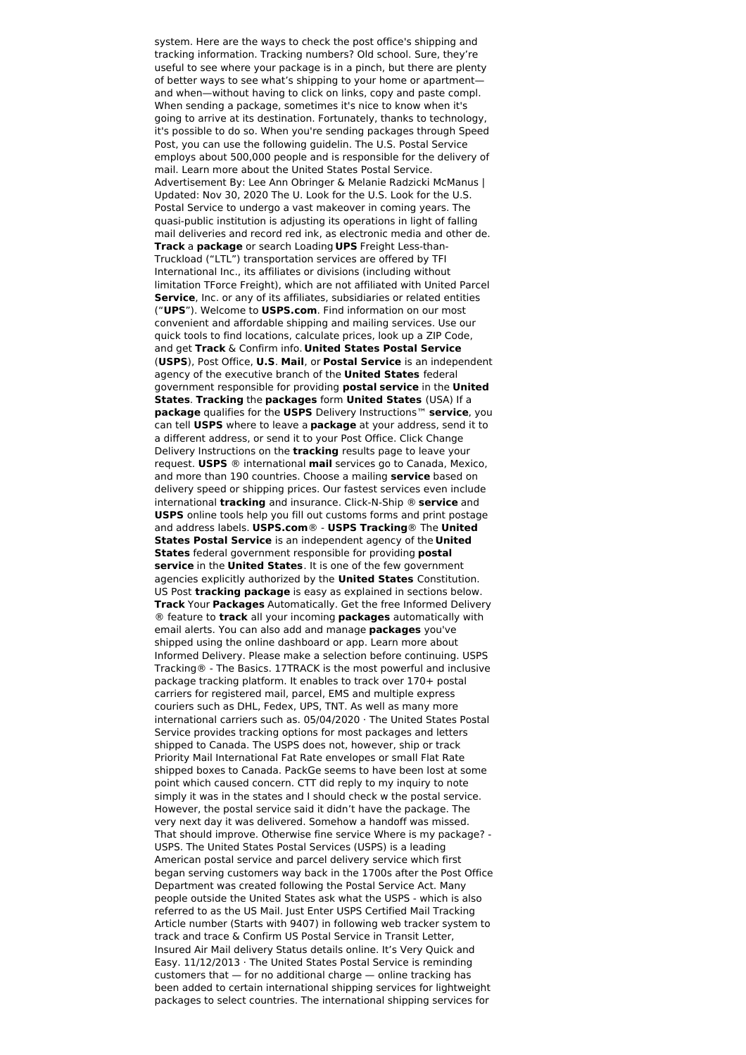system. Here are the ways to check the post office's shipping and tracking information. Tracking numbers? Old school. Sure, they're useful to see where your package is in a pinch, but there are plenty of better ways to see what's shipping to your home or apartment and when—without having to click on links, copy and paste compl. When sending a package, sometimes it's nice to know when it's going to arrive at its destination. Fortunately, thanks to technology, it's possible to do so. When you're sending packages through Speed Post, you can use the following guidelin. The U.S. Postal Service employs about 500,000 people and is responsible for the delivery of mail. Learn more about the United States Postal Service. Advertisement By: Lee Ann Obringer & Melanie Radzicki McManus | Updated: Nov 30, 2020 The U. Look for the U.S. Look for the U.S. Postal Service to undergo a vast makeover in coming years. The quasi-public institution is adjusting its operations in light of falling mail deliveries and record red ink, as electronic media and other de. **Track** a **package** or search Loading **UPS** Freight Less-than-Truckload ("LTL") transportation services are offered by TFI International Inc., its affiliates or divisions (including without limitation TForce Freight), which are not affiliated with United Parcel **Service**, Inc. or any of its affiliates, subsidiaries or related entities ("**UPS**"). Welcome to **USPS.com**. Find information on our most convenient and affordable shipping and mailing services. Use our quick tools to find locations, calculate prices, look up a ZIP Code, and get **Track** & Confirm info. **United States Postal Service** (**USPS**), Post Office, **U.S**. **Mail**, or **Postal Service** is an independent agency of the executive branch of the **United States** federal government responsible for providing **postal service** in the **United States**. **Tracking** the **packages** form **United States** (USA) If a **package** qualifies for the **USPS** Delivery Instructions™ **service**, you can tell **USPS** where to leave a **package** at your address, send it to a different address, or send it to your Post Office. Click Change Delivery Instructions on the **tracking** results page to leave your request. **USPS** ® international **mail** services go to Canada, Mexico, and more than 190 countries. Choose a mailing **service** based on delivery speed or shipping prices. Our fastest services even include international **tracking** and insurance. Click-N-Ship ® **service** and **USPS** online tools help you fill out customs forms and print postage and address labels. **USPS.com**® - **USPS Tracking**® The **United States Postal Service** is an independent agency of the **United States** federal government responsible for providing **postal service** in the **United States**. It is one of the few government agencies explicitly authorized by the **United States** Constitution. US Post **tracking package** is easy as explained in sections below. **Track** Your **Packages** Automatically. Get the free Informed Delivery ® feature to **track** all your incoming **packages** automatically with email alerts. You can also add and manage **packages** you've shipped using the online dashboard or app. Learn more about Informed Delivery. Please make a selection before continuing. USPS Tracking® - The Basics. 17TRACK is the most powerful and inclusive package tracking platform. It enables to track over 170+ postal carriers for registered mail, parcel, EMS and multiple express couriers such as DHL, Fedex, UPS, TNT. As well as many more international carriers such as. 05/04/2020 · The United States Postal Service provides tracking options for most packages and letters shipped to Canada. The USPS does not, however, ship or track Priority Mail International Fat Rate envelopes or small Flat Rate shipped boxes to Canada. PackGe seems to have been lost at some point which caused concern. CTT did reply to my inquiry to note simply it was in the states and I should check w the postal service. However, the postal service said it didn't have the package. The very next day it was delivered. Somehow a handoff was missed. That should improve. Otherwise fine service Where is my package? - USPS. The United States Postal Services (USPS) is a leading American postal service and parcel delivery service which first began serving customers way back in the 1700s after the Post Office Department was created following the Postal Service Act. Many people outside the United States ask what the USPS - which is also referred to as the US Mail. Just Enter USPS Certified Mail Tracking Article number (Starts with 9407) in following web tracker system to track and trace & Confirm US Postal Service in Transit Letter, Insured Air Mail delivery Status details online. It's Very Quick and Easy. 11/12/2013 · The United States Postal Service is reminding customers that — for no additional charge — online tracking has been added to certain international shipping services for lightweight packages to select countries. The international shipping services for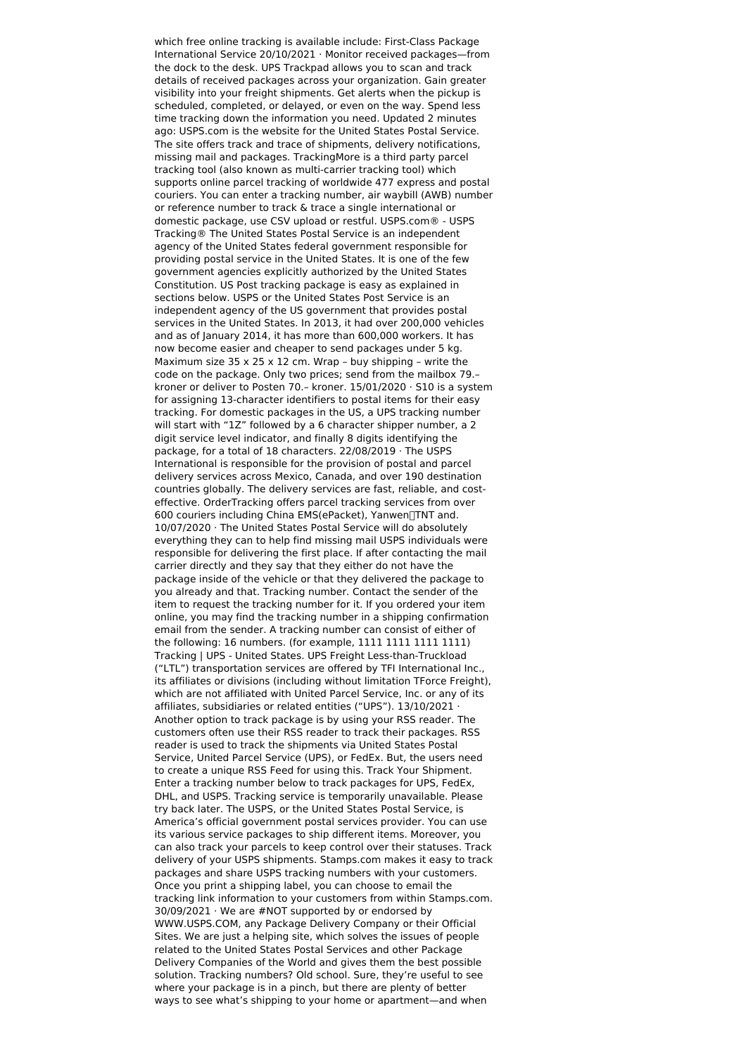which free online tracking is available include: First-Class Package International Service 20/10/2021 · Monitor received packages—from the dock to the desk. UPS Trackpad allows you to scan and track details of received packages across your organization. Gain greater visibility into your freight shipments. Get alerts when the pickup is scheduled, completed, or delayed, or even on the way. Spend less time tracking down the information you need. Updated 2 minutes ago: USPS.com is the website for the United States Postal Service. The site offers track and trace of shipments, delivery notifications, missing mail and packages. TrackingMore is a third party parcel tracking tool (also known as multi-carrier tracking tool) which supports online parcel tracking of worldwide 477 express and postal couriers. You can enter a tracking number, air waybill (AWB) number or reference number to track & trace a single international or domestic package, use CSV upload or restful. USPS.com® - USPS Tracking® The United States Postal Service is an independent agency of the United States federal government responsible for providing postal service in the United States. It is one of the few government agencies explicitly authorized by the United States Constitution. US Post tracking package is easy as explained in sections below. USPS or the United States Post Service is an independent agency of the US government that provides postal services in the United States. In 2013, it had over 200,000 vehicles and as of January 2014, it has more than 600,000 workers. It has now become easier and cheaper to send packages under 5 kg. Maximum size 35 x 25 x 12 cm. Wrap – buy shipping – write the code on the package. Only two prices; send from the mailbox 79.– kroner or deliver to Posten 70.– kroner. 15/01/2020 · S10 is a system for assigning 13-character identifiers to postal items for their easy tracking. For domestic packages in the US, a UPS tracking number will start with "1Z" followed by a 6 character shipper number, a 2 digit service level indicator, and finally 8 digits identifying the package, for a total of 18 characters. 22/08/2019 · The USPS International is responsible for the provision of postal and parcel delivery services across Mexico, Canada, and over 190 destination countries globally. The delivery services are fast, reliable, and costeffective. OrderTracking offers parcel tracking services from over 600 couriers including China EMS(ePacket), Yanwen[JTNT and. 10/07/2020 · The United States Postal Service will do absolutely everything they can to help find missing mail USPS individuals were responsible for delivering the first place. If after contacting the mail carrier directly and they say that they either do not have the package inside of the vehicle or that they delivered the package to you already and that. Tracking number. Contact the sender of the item to request the tracking number for it. If you ordered your item online, you may find the tracking number in a shipping confirmation email from the sender. A tracking number can consist of either of the following: 16 numbers. (for example, 1111 1111 1111 1111) Tracking | UPS - United States. UPS Freight Less-than-Truckload ("LTL") transportation services are offered by TFI International Inc., its affiliates or divisions (including without limitation TForce Freight), which are not affiliated with United Parcel Service, Inc. or any of its affiliates, subsidiaries or related entities ("UPS"). 13/10/2021 · Another option to track package is by using your RSS reader. The customers often use their RSS reader to track their packages. RSS reader is used to track the shipments via United States Postal Service, United Parcel Service (UPS), or FedEx. But, the users need to create a unique RSS Feed for using this. Track Your Shipment. Enter a tracking number below to track packages for UPS, FedEx, DHL, and USPS. Tracking service is temporarily unavailable. Please try back later. The USPS, or the United States Postal Service, is America's official government postal services provider. You can use its various service packages to ship different items. Moreover, you can also track your parcels to keep control over their statuses. Track delivery of your USPS shipments. Stamps.com makes it easy to track packages and share USPS tracking numbers with your customers. Once you print a shipping label, you can choose to email the tracking link information to your customers from within Stamps.com. 30/09/2021 · We are #NOT supported by or endorsed by WWW.USPS.COM, any Package Delivery Company or their Official Sites. We are just a helping site, which solves the issues of people related to the United States Postal Services and other Package Delivery Companies of the World and gives them the best possible solution. Tracking numbers? Old school. Sure, they're useful to see where your package is in a pinch, but there are plenty of better ways to see what's shipping to your home or apartment—and when